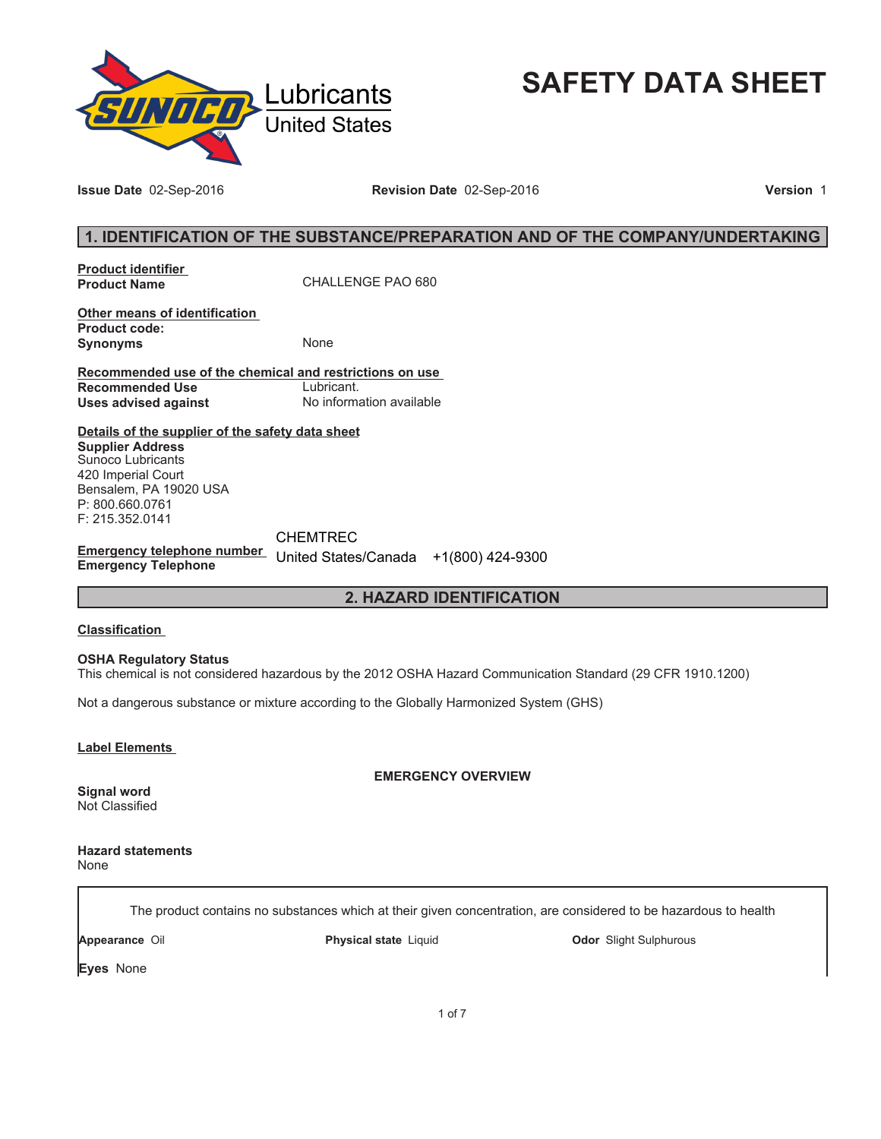

# **SAFETY DATA SHEET**

**Issue Date** 02-Sep-2016 **Revision Date** 02-Sep-2016 **Version** 1

# **1. IDENTIFICATION OF THE SUBSTANCE/PREPARATION AND OF THE COMPANY/UNDERTAKING**

**Product identifier** 

**Product Name** CHALLENGE PAO 680

**Other means of identification Product code: Synonyms** None

**Recommended use of the chemical and restrictions on use Recommended Use<br>Uses advised against Uses advised against** No information available

**Details of the supplier of the safety data sheet Supplier Address** Sunoco Lubricants 420 Imperial Court Bensalem, PA 19020 USA P: 800.660.0761 F: 215.352.0141

**Emergency telephone number**  United States/Canada +1(800) 424-9300**Emergency Telephone** CHEMTREC

# **2. HAZARD IDENTIFICATION**

## **Classification**

**OSHA Regulatory Status**

This chemical is not considered hazardous by the 2012 OSHA Hazard Communication Standard (29 CFR 1910.1200)

Not a dangerous substance or mixture according to the Globally Harmonized System (GHS)

**Label Elements** 

**EMERGENCY OVERVIEW**

**Signal word** Not Classified

**Hazard statements** None

The product contains no substances which at their given concentration, are considered to be hazardous to health

**Appearance** Oil **Physical state** Liquid **Odor** Slight Sulphurous

**Eyes** None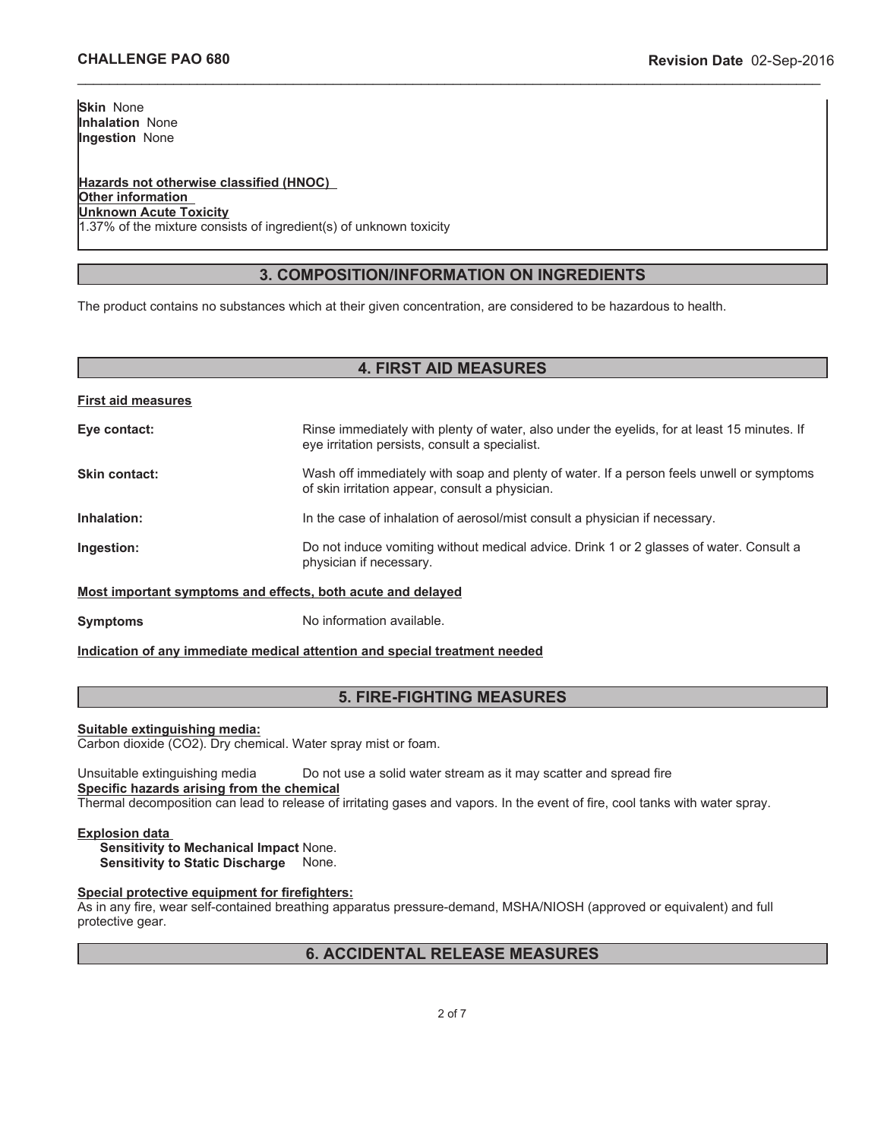**Skin** None **Inhalation** None **Ingestion** None

#### **Hazards not otherwise classified (HNOC) Other information Unknown Acute Toxicity** 1.37% of the mixture consists of ingredient(s) of unknown toxicity

# **3. COMPOSITION/INFORMATION ON INGREDIENTS**

\_\_\_\_\_\_\_\_\_\_\_\_\_\_\_\_\_\_\_\_\_\_\_\_\_\_\_\_\_\_\_\_\_\_\_\_\_\_\_\_\_\_\_\_\_\_\_\_\_\_\_\_\_\_\_\_\_\_\_\_\_\_\_\_\_\_\_\_\_\_\_\_\_\_\_\_\_\_\_\_\_\_\_\_\_\_\_\_\_\_\_\_\_

The product contains no substances which at their given concentration, are considered to be hazardous to health.

## **4. FIRST AID MEASURES**

| <b>First aid measures</b>                                   |                                                                                                                                               |
|-------------------------------------------------------------|-----------------------------------------------------------------------------------------------------------------------------------------------|
| Eye contact:                                                | Rinse immediately with plenty of water, also under the eyelids, for at least 15 minutes. If<br>eye irritation persists, consult a specialist. |
| Skin contact:                                               | Wash off immediately with soap and plenty of water. If a person feels unwell or symptoms<br>of skin irritation appear, consult a physician.   |
| Inhalation:                                                 | In the case of inhalation of aerosol/mist consult a physician if necessary.                                                                   |
| Ingestion:                                                  | Do not induce vomiting without medical advice. Drink 1 or 2 glasses of water. Consult a<br>physician if necessary.                            |
| Most important symptoms and effects, both acute and delayed |                                                                                                                                               |
| <b>Symptoms</b>                                             | No information available.                                                                                                                     |

**Indication of any immediate medical attention and special treatment needed**

# **5. FIRE-FIGHTING MEASURES**

#### **Suitable extinguishing media:**

Carbon dioxide (CO2). Dry chemical. Water spray mist or foam.

Unsuitable extinguishing media Do not use a solid water stream as it may scatter and spread fire **Specific hazards arising from the chemical** Thermal decomposition can lead to release of irritating gases and vapors. In the event of fire, cool tanks with water spray.

#### **Explosion data**

**Sensitivity to Mechanical Impact** None. **Sensitivity to Static Discharge** None.

#### **Special protective equipment for firefighters:**

As in any fire, wear self-contained breathing apparatus pressure-demand, MSHA/NIOSH (approved or equivalent) and full protective gear.

# **6. ACCIDENTAL RELEASE MEASURES**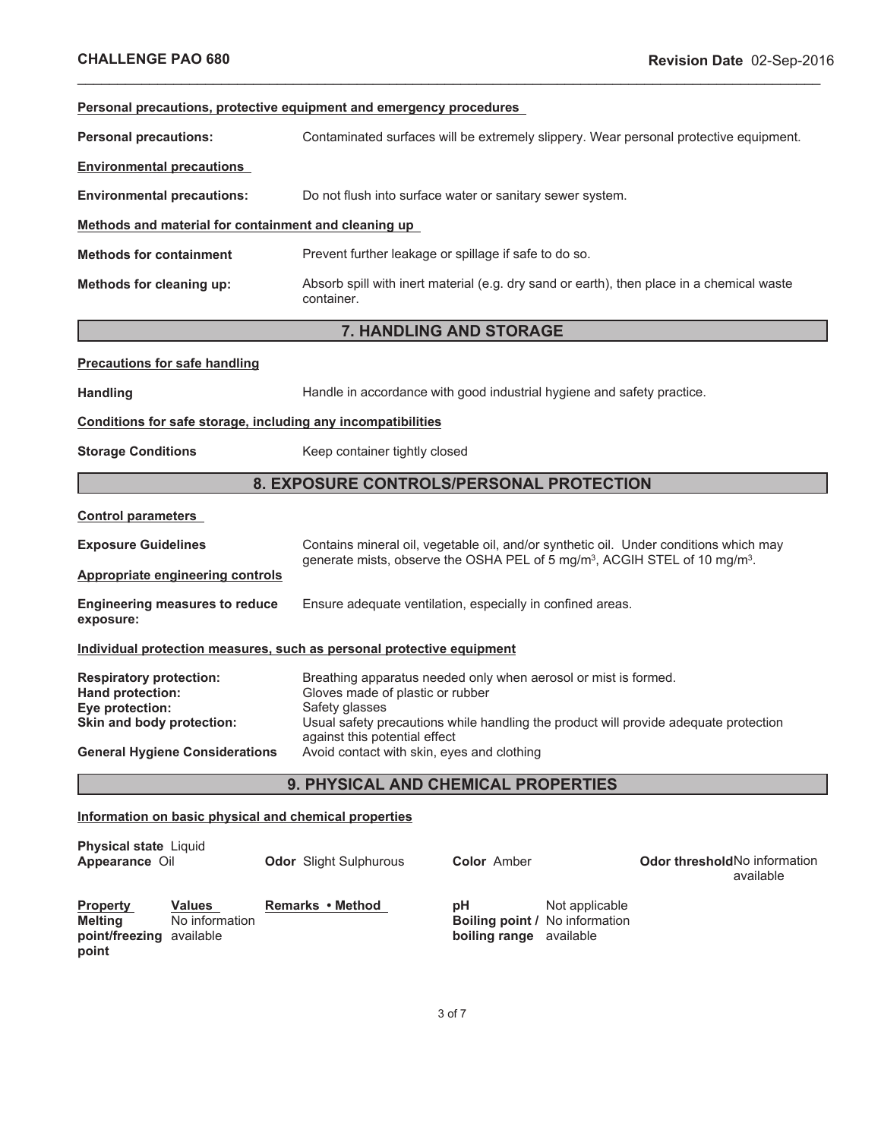| Personal precautions, protective equipment and emergency procedures                                                                         |                                                                                                                                                                                                                                                                                              |                                                   |  |
|---------------------------------------------------------------------------------------------------------------------------------------------|----------------------------------------------------------------------------------------------------------------------------------------------------------------------------------------------------------------------------------------------------------------------------------------------|---------------------------------------------------|--|
| <b>Personal precautions:</b>                                                                                                                | Contaminated surfaces will be extremely slippery. Wear personal protective equipment.                                                                                                                                                                                                        |                                                   |  |
| <b>Environmental precautions</b>                                                                                                            |                                                                                                                                                                                                                                                                                              |                                                   |  |
| <b>Environmental precautions:</b>                                                                                                           | Do not flush into surface water or sanitary sewer system.                                                                                                                                                                                                                                    |                                                   |  |
| Methods and material for containment and cleaning up                                                                                        |                                                                                                                                                                                                                                                                                              |                                                   |  |
| <b>Methods for containment</b>                                                                                                              | Prevent further leakage or spillage if safe to do so.                                                                                                                                                                                                                                        |                                                   |  |
| Methods for cleaning up:                                                                                                                    | Absorb spill with inert material (e.g. dry sand or earth), then place in a chemical waste<br>container.                                                                                                                                                                                      |                                                   |  |
|                                                                                                                                             | 7. HANDLING AND STORAGE                                                                                                                                                                                                                                                                      |                                                   |  |
| <b>Precautions for safe handling</b>                                                                                                        |                                                                                                                                                                                                                                                                                              |                                                   |  |
| <b>Handling</b>                                                                                                                             | Handle in accordance with good industrial hygiene and safety practice.                                                                                                                                                                                                                       |                                                   |  |
| Conditions for safe storage, including any incompatibilities                                                                                |                                                                                                                                                                                                                                                                                              |                                                   |  |
| <b>Storage Conditions</b>                                                                                                                   | Keep container tightly closed                                                                                                                                                                                                                                                                |                                                   |  |
|                                                                                                                                             | 8. EXPOSURE CONTROLS/PERSONAL PROTECTION                                                                                                                                                                                                                                                     |                                                   |  |
| <b>Control parameters</b>                                                                                                                   |                                                                                                                                                                                                                                                                                              |                                                   |  |
| <b>Exposure Guidelines</b>                                                                                                                  | Contains mineral oil, vegetable oil, and/or synthetic oil. Under conditions which may<br>generate mists, observe the OSHA PEL of 5 mg/m <sup>3</sup> , ACGIH STEL of 10 mg/m <sup>3</sup> .                                                                                                  |                                                   |  |
| <b>Appropriate engineering controls</b>                                                                                                     |                                                                                                                                                                                                                                                                                              |                                                   |  |
| <b>Engineering measures to reduce</b><br>exposure:                                                                                          | Ensure adequate ventilation, especially in confined areas.                                                                                                                                                                                                                                   |                                                   |  |
| Individual protection measures, such as personal protective equipment                                                                       |                                                                                                                                                                                                                                                                                              |                                                   |  |
| <b>Respiratory protection:</b><br>Hand protection:<br>Eye protection:<br>Skin and body protection:<br><b>General Hygiene Considerations</b> | Breathing apparatus needed only when aerosol or mist is formed.<br>Gloves made of plastic or rubber<br>Safety glasses<br>Usual safety precautions while handling the product will provide adequate protection<br>against this potential effect<br>Avoid contact with skin, eyes and clothing |                                                   |  |
| 9. PHYSICAL AND CHEMICAL PROPERTIES                                                                                                         |                                                                                                                                                                                                                                                                                              |                                                   |  |
| Information on basic physical and chemical properties                                                                                       |                                                                                                                                                                                                                                                                                              |                                                   |  |
| <b>Physical state Liquid</b><br>Appearance Oil                                                                                              | <b>Color Amber</b><br><b>Odor</b> Slight Sulphurous                                                                                                                                                                                                                                          | <b>Odor threshold No information</b><br>available |  |

\_\_\_\_\_\_\_\_\_\_\_\_\_\_\_\_\_\_\_\_\_\_\_\_\_\_\_\_\_\_\_\_\_\_\_\_\_\_\_\_\_\_\_\_\_\_\_\_\_\_\_\_\_\_\_\_\_\_\_\_\_\_\_\_\_\_\_\_\_\_\_\_\_\_\_\_\_\_\_\_\_\_\_\_\_\_\_\_\_\_\_\_\_

| <b>Property</b>                     | <b>Values</b>  | Remarks • Method | рH                             | Not applicable                        |
|-------------------------------------|----------------|------------------|--------------------------------|---------------------------------------|
| Meltina<br>point/freezing available | No information |                  | <b>boiling range</b> available | <b>Boiling point / No information</b> |
| point                               |                |                  |                                |                                       |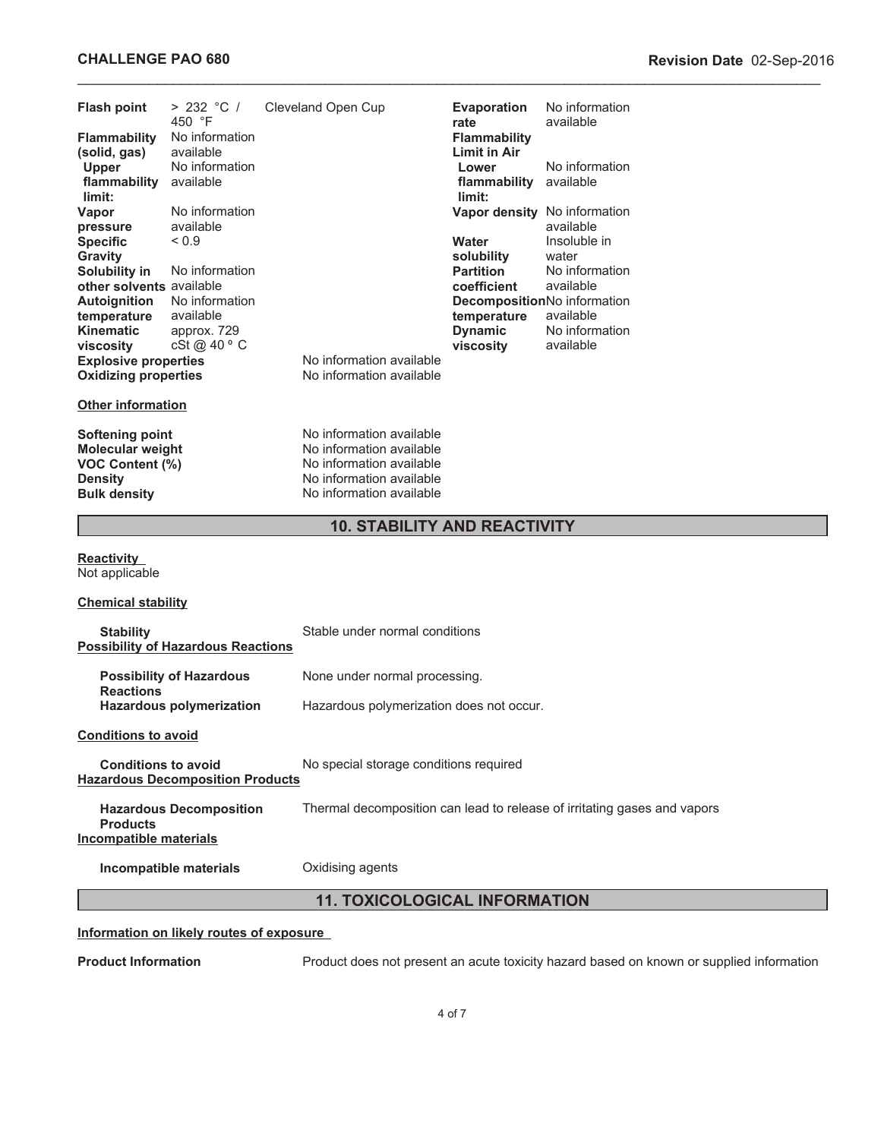| <b>Flash point</b>                                                    | > 232 °C /<br>450 °F            | Cleveland Open Cup                                   | <b>Evaporation</b><br>rate   | No information<br>available                                              |  |
|-----------------------------------------------------------------------|---------------------------------|------------------------------------------------------|------------------------------|--------------------------------------------------------------------------|--|
| <b>Flammability</b>                                                   | No information                  |                                                      | <b>Flammability</b>          |                                                                          |  |
| (solid, gas)                                                          | available                       |                                                      | Limit in Air                 |                                                                          |  |
| <b>Upper</b>                                                          | No information                  |                                                      | Lower                        | No information                                                           |  |
| flammability available<br>limit:                                      |                                 |                                                      | flammability<br>limit:       | available                                                                |  |
| Vapor                                                                 | No information                  |                                                      | Vapor density No information |                                                                          |  |
| pressure                                                              | available                       |                                                      |                              | available                                                                |  |
| <b>Specific</b><br><b>Gravity</b>                                     | ${}_{0.9}$                      |                                                      | Water<br>solubility          | Insoluble in<br>water                                                    |  |
| Solubility in                                                         | No information                  |                                                      | <b>Partition</b>             | No information                                                           |  |
| other solvents available                                              |                                 |                                                      | coefficient                  | available                                                                |  |
| <b>Autoignition</b>                                                   | No information                  |                                                      | DecompositionNo information  |                                                                          |  |
| temperature                                                           | available                       |                                                      | temperature                  | available                                                                |  |
| <b>Kinematic</b>                                                      | approx. 729                     |                                                      | <b>Dynamic</b>               | No information                                                           |  |
| viscosity                                                             | cSt @ 40 ° C                    |                                                      | viscosity                    | available                                                                |  |
| <b>Explosive properties</b>                                           |                                 | No information available<br>No information available |                              |                                                                          |  |
| <b>Oxidizing properties</b>                                           |                                 |                                                      |                              |                                                                          |  |
| <b>Other information</b>                                              |                                 |                                                      |                              |                                                                          |  |
| <b>Softening point</b>                                                |                                 | No information available                             |                              |                                                                          |  |
| <b>Molecular weight</b>                                               |                                 | No information available                             |                              |                                                                          |  |
| <b>VOC Content (%)</b>                                                |                                 | No information available                             |                              |                                                                          |  |
| <b>Density</b>                                                        |                                 | No information available                             |                              |                                                                          |  |
| <b>Bulk density</b>                                                   |                                 | No information available                             |                              |                                                                          |  |
|                                                                       |                                 | <b>10. STABILITY AND REACTIVITY</b>                  |                              |                                                                          |  |
| <b>Reactivity</b><br>Not applicable                                   |                                 |                                                      |                              |                                                                          |  |
| <b>Chemical stability</b>                                             |                                 |                                                      |                              |                                                                          |  |
|                                                                       |                                 |                                                      |                              |                                                                          |  |
| <b>Stability</b><br><b>Possibility of Hazardous Reactions</b>         |                                 | Stable under normal conditions                       |                              |                                                                          |  |
|                                                                       |                                 |                                                      |                              |                                                                          |  |
| <b>Reactions</b>                                                      | <b>Possibility of Hazardous</b> | None under normal processing.                        |                              |                                                                          |  |
|                                                                       | Hazardous polymerization        | Hazardous polymerization does not occur.             |                              |                                                                          |  |
| <b>Conditions to avoid</b>                                            |                                 |                                                      |                              |                                                                          |  |
| <b>Conditions to avoid</b><br><b>Hazardous Decomposition Products</b> |                                 | No special storage conditions required               |                              |                                                                          |  |
| <b>Products</b><br><b>Incompatible materials</b>                      | <b>Hazardous Decomposition</b>  |                                                      |                              | Thermal decomposition can lead to release of irritating gases and vapors |  |
| Incompatible materials                                                |                                 | Oxidising agents                                     |                              |                                                                          |  |

# **11. TOXICOLOGICAL INFORMATION**

# **Information on likely routes of exposure**

**Product Information Product does not present an acute toxicity hazard based on known or supplied information**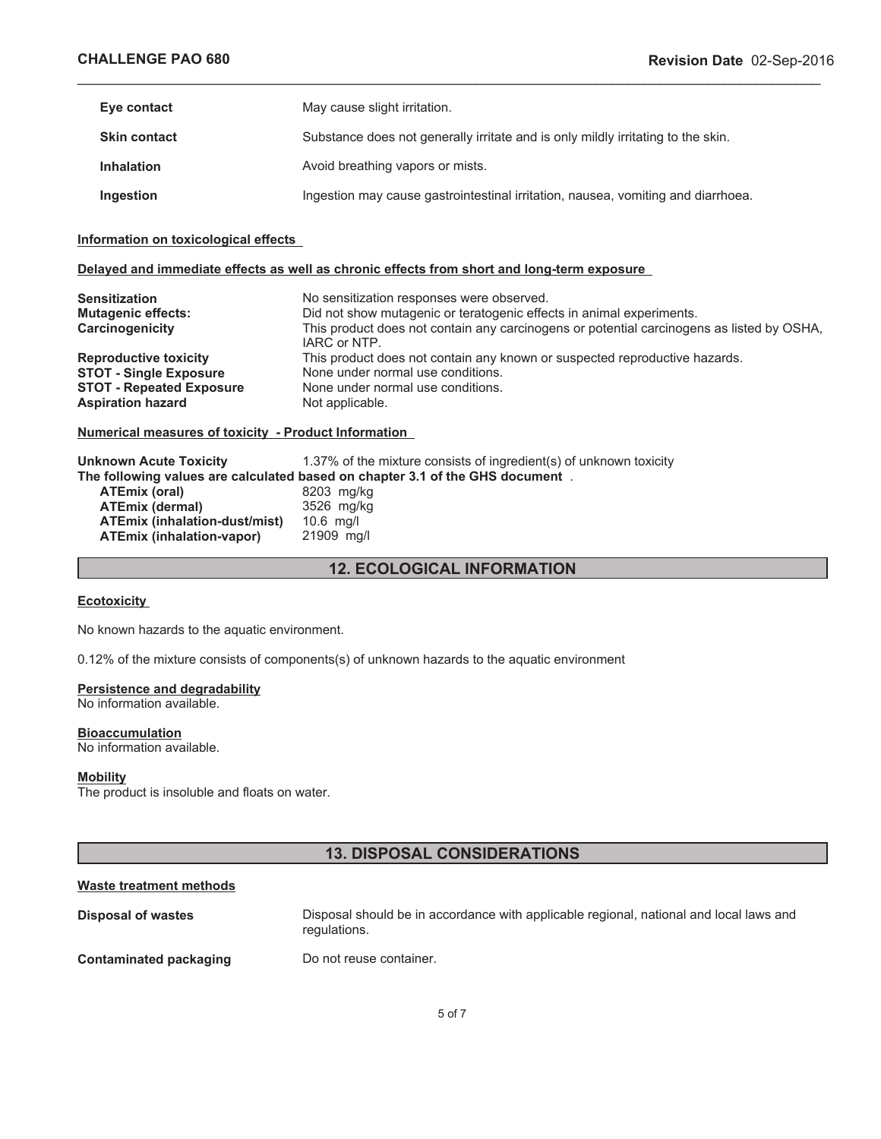| Eye contact         | May cause slight irritation.                                                     |
|---------------------|----------------------------------------------------------------------------------|
| <b>Skin contact</b> | Substance does not generally irritate and is only mildly irritating to the skin. |
| <b>Inhalation</b>   | Avoid breathing vapors or mists.                                                 |
| Ingestion           | Ingestion may cause gastrointestinal irritation, nausea, vomiting and diarrhoea. |

\_\_\_\_\_\_\_\_\_\_\_\_\_\_\_\_\_\_\_\_\_\_\_\_\_\_\_\_\_\_\_\_\_\_\_\_\_\_\_\_\_\_\_\_\_\_\_\_\_\_\_\_\_\_\_\_\_\_\_\_\_\_\_\_\_\_\_\_\_\_\_\_\_\_\_\_\_\_\_\_\_\_\_\_\_\_\_\_\_\_\_\_\_

## **Information on toxicological effects**

## **Delayed and immediate effects as well as chronic effects from short and long-term exposure**

| <b>Sensitization</b>            | No sensitization responses were observed.                                                                 |
|---------------------------------|-----------------------------------------------------------------------------------------------------------|
| <b>Mutagenic effects:</b>       | Did not show mutagenic or teratogenic effects in animal experiments.                                      |
| Carcinogenicity                 | This product does not contain any carcinogens or potential carcinogens as listed by OSHA,<br>IARC or NTP. |
| <b>Reproductive toxicity</b>    | This product does not contain any known or suspected reproductive hazards.                                |
| <b>STOT - Single Exposure</b>   | None under normal use conditions.                                                                         |
| <b>STOT - Repeated Exposure</b> | None under normal use conditions.                                                                         |
| <b>Aspiration hazard</b>        | Not applicable.                                                                                           |

#### **Numerical measures of toxicity - Product Information**

| <b>Unknown Acute Toxicity</b> | 1.37% of the mixture consists of ingredient(s) of unknown toxicity            |
|-------------------------------|-------------------------------------------------------------------------------|
|                               | The following values are calculated based on chapter 3.1 of the GHS document. |
| ATEmix (oral)                 | 8203 mg/kg                                                                    |
| <b>ATEmix (dermal)</b>        | 3526 mg/kg                                                                    |
| ATEmix (inhalation-dust/mist) | $10.6$ ma/l                                                                   |
| ATEmix (inhalation-vapor)     | 21909 mg/l                                                                    |

**12. ECOLOGICAL INFORMATION**

## **Ecotoxicity**

No known hazards to the aquatic environment.

0.12% of the mixture consists of components(s) of unknown hazards to the aquatic environment

# **Persistence and degradability**

No information available.

#### **Bioaccumulation**

No information available.

#### **Mobility**

The product is insoluble and floats on water.

# **13. DISPOSAL CONSIDERATIONS**

## **Waste treatment methods**

| Disposal of wastes            | Disposal should be in accordance with applicable regional, national and local laws and<br>regulations. |
|-------------------------------|--------------------------------------------------------------------------------------------------------|
| <b>Contaminated packaging</b> | Do not reuse container.                                                                                |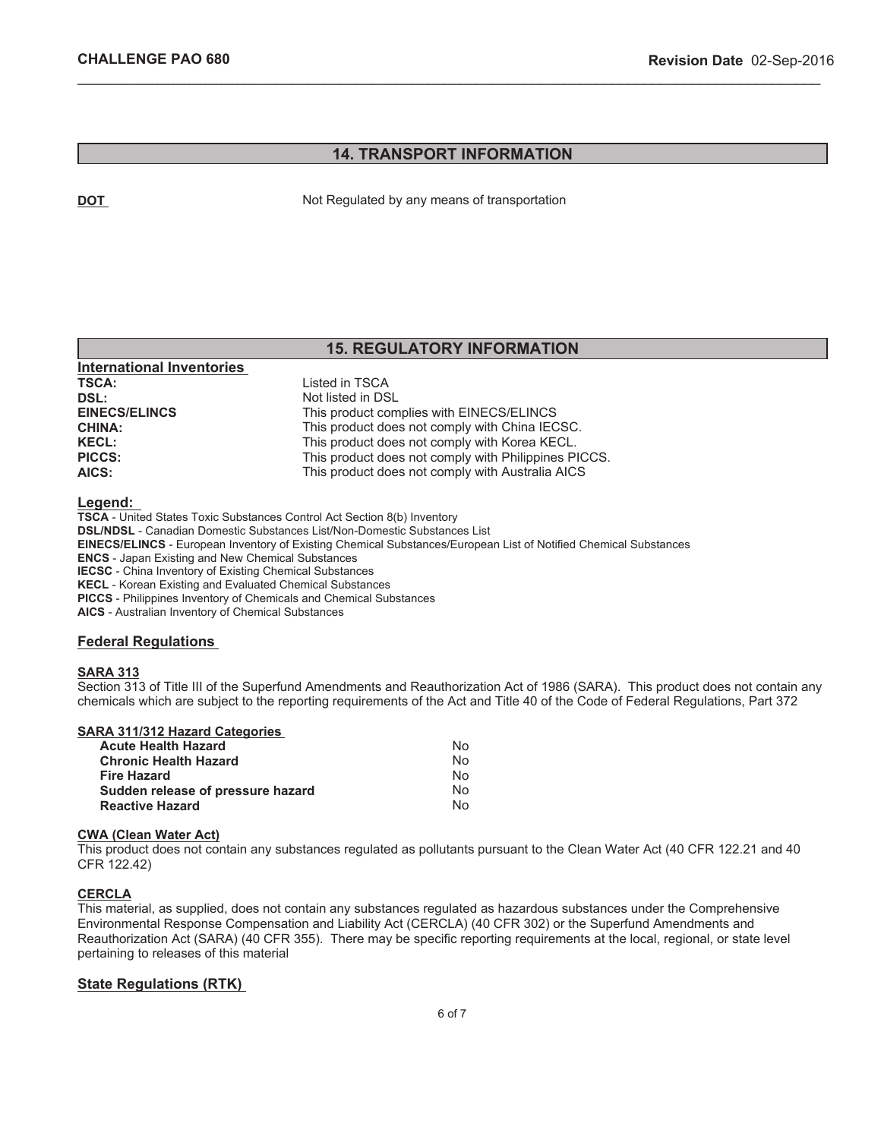**International Inventories** 

# **14. TRANSPORT INFORMATION**

\_\_\_\_\_\_\_\_\_\_\_\_\_\_\_\_\_\_\_\_\_\_\_\_\_\_\_\_\_\_\_\_\_\_\_\_\_\_\_\_\_\_\_\_\_\_\_\_\_\_\_\_\_\_\_\_\_\_\_\_\_\_\_\_\_\_\_\_\_\_\_\_\_\_\_\_\_\_\_\_\_\_\_\_\_\_\_\_\_\_\_\_\_

**DOT** Not Regulated by any means of transportation

# **15. REGULATORY INFORMATION**

| 111011100101101111101103 |                                                      |
|--------------------------|------------------------------------------------------|
| <b>TSCA:</b>             | Listed in TSCA                                       |
| <b>DSL:</b>              | Not listed in DSL                                    |
| <b>EINECS/ELINCS</b>     | This product complies with EINECS/ELINCS             |
| <b>CHINA:</b>            | This product does not comply with China IECSC.       |
| <b>KECL:</b>             | This product does not comply with Korea KECL.        |
| <b>PICCS:</b>            | This product does not comply with Philippines PICCS. |
| AICS:                    | This product does not comply with Australia AICS     |
|                          |                                                      |

**Legend:**

**TSCA** - United States Toxic Substances Control Act Section 8(b) Inventory **DSL/NDSL** - Canadian Domestic Substances List/Non-Domestic Substances List **EINECS/ELINCS** - European Inventory of Existing Chemical Substances/European List of Notified Chemical Substances **ENCS** - Japan Existing and New Chemical Substances **IECSC** - China Inventory of Existing Chemical Substances **KECL** - Korean Existing and Evaluated Chemical Substances **PICCS** - Philippines Inventory of Chemicals and Chemical Substances **AICS** - Australian Inventory of Chemical Substances

## **Federal Regulations**

## **SARA 313**

Section 313 of Title III of the Superfund Amendments and Reauthorization Act of 1986 (SARA). This product does not contain any chemicals which are subject to the reporting requirements of the Act and Title 40 of the Code of Federal Regulations, Part 372

## **SARA 311/312 Hazard Categories**

| Acute Health Hazard               | No |
|-----------------------------------|----|
| <b>Chronic Health Hazard</b>      | No |
| Fire Hazard                       | No |
| Sudden release of pressure hazard | No |
| <b>Reactive Hazard</b>            | N٥ |

#### **CWA (Clean Water Act)**

This product does not contain any substances regulated as pollutants pursuant to the Clean Water Act (40 CFR 122.21 and 40 CFR 122.42)

## **CERCLA**

This material, as supplied, does not contain any substances regulated as hazardous substances under the Comprehensive Environmental Response Compensation and Liability Act (CERCLA) (40 CFR 302) or the Superfund Amendments and Reauthorization Act (SARA) (40 CFR 355). There may be specific reporting requirements at the local, regional, or state level pertaining to releases of this material

## **State Regulations (RTK)**